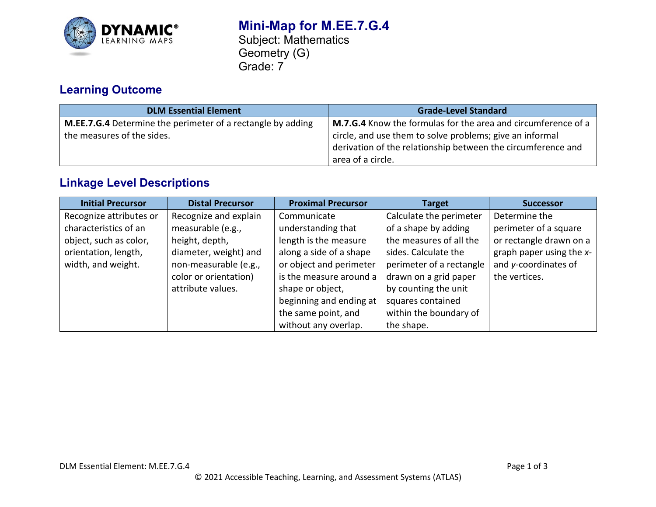

## **Mini-Map for M.EE.7.G.4** Subject: Mathematics Geometry (G) Grade: 7

# **Learning Outcome**

| <b>DLM Essential Element</b>                                | <b>Grade-Level Standard</b>                                   |  |
|-------------------------------------------------------------|---------------------------------------------------------------|--|
| M.EE.7.G.4 Determine the perimeter of a rectangle by adding | M.7.G.4 Know the formulas for the area and circumference of a |  |
| the measures of the sides.                                  | circle, and use them to solve problems; give an informal      |  |
|                                                             | derivation of the relationship between the circumference and  |  |
|                                                             | area of a circle.                                             |  |

## **Linkage Level Descriptions**

| <b>Initial Precursor</b> | <b>Distal Precursor</b> | <b>Proximal Precursor</b> | <b>Target</b>            | <b>Successor</b>            |
|--------------------------|-------------------------|---------------------------|--------------------------|-----------------------------|
| Recognize attributes or  | Recognize and explain   | Communicate               | Calculate the perimeter  | Determine the               |
| characteristics of an    | measurable (e.g.,       | understanding that        | of a shape by adding     | perimeter of a square       |
| object, such as color,   | height, depth,          | length is the measure     | the measures of all the  | or rectangle drawn on a     |
| orientation, length,     | diameter, weight) and   | along a side of a shape   | sides. Calculate the     | graph paper using the $x$ - |
| width, and weight.       | non-measurable (e.g.,   | or object and perimeter   | perimeter of a rectangle | and y-coordinates of        |
|                          | color or orientation)   | is the measure around a   | drawn on a grid paper    | the vertices.               |
|                          | attribute values.       | shape or object,          | by counting the unit     |                             |
|                          |                         | beginning and ending at   | squares contained        |                             |
|                          |                         | the same point, and       | within the boundary of   |                             |
|                          |                         | without any overlap.      | the shape.               |                             |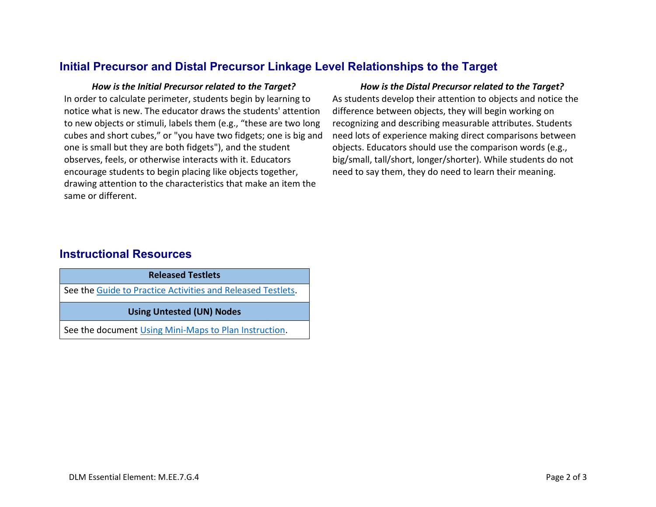### **Initial Precursor and Distal Precursor Linkage Level Relationships to the Target**

In order to calculate perimeter, students begin by learning to notice what is new. The educator draws the students' attention to new objects or stimuli, labels them (e.g., "these are two long cubes and short cubes," or "you have two fidgets; one is big and one is small but they are both fidgets"), and the student observes, feels, or otherwise interacts with it. Educators encourage students to begin placing like objects together, drawing attention to the characteristics that make an item the same or different.

### *How is the Initial Precursor related to the Target? How is the Distal Precursor related to the Target?*

As students develop their attention to objects and notice the difference between objects, they will begin working on recognizing and describing measurable attributes. Students need lots of experience making direct comparisons between objects. Educators should use the comparison words (e.g., big/small, tall/short, longer/shorter). While students do not need to say them, they do need to learn their meaning.

### **Instructional Resources**

| <b>Released Testlets</b>                                    |  |  |
|-------------------------------------------------------------|--|--|
| See the Guide to Practice Activities and Released Testlets. |  |  |
| <b>Using Untested (UN) Nodes</b>                            |  |  |
| See the document Using Mini-Maps to Plan Instruction.       |  |  |